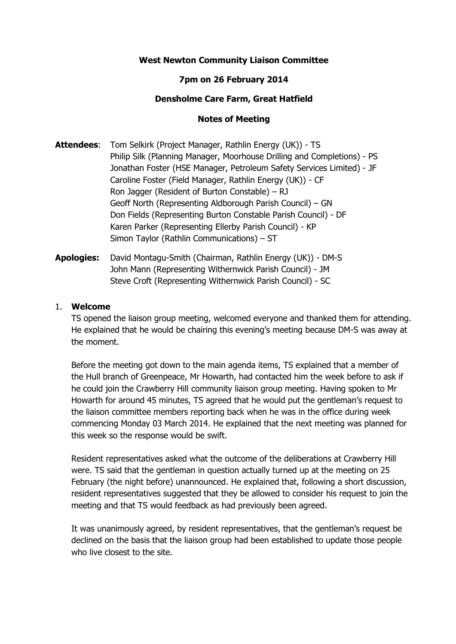# **West Newton Community Liaison Committee**

# **7pm on 26 February 2014**

### **Densholme Care Farm, Great Hatfield**

### **Notes of Meeting**

- **Attendees**: Tom Selkirk (Project Manager, Rathlin Energy (UK)) TS Philip Silk (Planning Manager, Moorhouse Drilling and Completions) - PS Jonathan Foster (HSE Manager, Petroleum Safety Services Limited) - JF Caroline Foster (Field Manager, Rathlin Energy (UK)) - CF Ron Jagger (Resident of Burton Constable) – RJ Geoff North (Representing Aldborough Parish Council) – GN Don Fields (Representing Burton Constable Parish Council) - DF Karen Parker (Representing Ellerby Parish Council) - KP Simon Taylor (Rathlin Communications) – ST
- **Apologies:** David Montagu-Smith (Chairman, Rathlin Energy (UK)) DM-S John Mann (Representing Withernwick Parish Council) - JM Steve Croft (Representing Withernwick Parish Council) - SC

### 1. **Welcome**

TS opened the liaison group meeting, welcomed everyone and thanked them for attending. He explained that he would be chairing this evening's meeting because DM-S was away at the moment.

Before the meeting got down to the main agenda items, TS explained that a member of the Hull branch of Greenpeace, Mr Howarth, had contacted him the week before to ask if he could join the Crawberry Hill community liaison group meeting. Having spoken to Mr Howarth for around 45 minutes, TS agreed that he would put the gentleman's request to the liaison committee members reporting back when he was in the office during week commencing Monday 03 March 2014. He explained that the next meeting was planned for this week so the response would be swift.

Resident representatives asked what the outcome of the deliberations at Crawberry Hill were. TS said that the gentleman in question actually turned up at the meeting on 25 February (the night before) unannounced. He explained that, following a short discussion, resident representatives suggested that they be allowed to consider his request to join the meeting and that TS would feedback as had previously been agreed.

It was unanimously agreed, by resident representatives, that the gentleman's request be declined on the basis that the liaison group had been established to update those people who live closest to the site.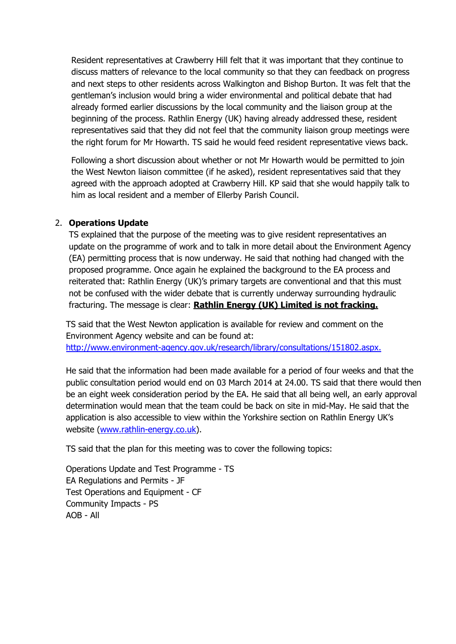Resident representatives at Crawberry Hill felt that it was important that they continue to discuss matters of relevance to the local community so that they can feedback on progress and next steps to other residents across Walkington and Bishop Burton. It was felt that the gentleman's inclusion would bring a wider environmental and political debate that had already formed earlier discussions by the local community and the liaison group at the beginning of the process. Rathlin Energy (UK) having already addressed these, resident representatives said that they did not feel that the community liaison group meetings were the right forum for Mr Howarth. TS said he would feed resident representative views back.

Following a short discussion about whether or not Mr Howarth would be permitted to join the West Newton liaison committee (if he asked), resident representatives said that they agreed with the approach adopted at Crawberry Hill. KP said that she would happily talk to him as local resident and a member of Ellerby Parish Council.

## 2. **Operations Update**

TS explained that the purpose of the meeting was to give resident representatives an update on the programme of work and to talk in more detail about the Environment Agency (EA) permitting process that is now underway. He said that nothing had changed with the proposed programme. Once again he explained the background to the EA process and reiterated that: Rathlin Energy (UK)'s primary targets are conventional and that this must not be confused with the wider debate that is currently underway surrounding hydraulic fracturing. The message is clear: **Rathlin Energy (UK) Limited is not fracking.**

TS said that the West Newton application is available for review and comment on the Environment Agency website and can be found at: [http://www.environment-agency.gov.uk/research/library/consultations/151802.aspx.](http://www.environment-agency.gov.uk/research/library/consultations/151802.aspx)

He said that the information had been made available for a period of four weeks and that the public consultation period would end on 03 March 2014 at 24.00. TS said that there would then be an eight week consideration period by the EA. He said that all being well, an early approval determination would mean that the team could be back on site in mid-May. He said that the application is also accessible to view within the Yorkshire section on Rathlin Energy UK's website [\(www.rathlin-energy.co.uk\)](http://www.rathlin-energy.co.uk/).

TS said that the plan for this meeting was to cover the following topics:

Operations Update and Test Programme - TS EA Regulations and Permits - JF Test Operations and Equipment - CF Community Impacts - PS AOB - All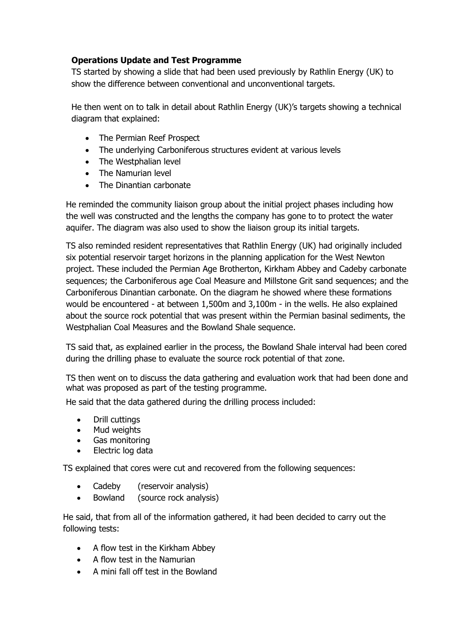# **Operations Update and Test Programme**

TS started by showing a slide that had been used previously by Rathlin Energy (UK) to show the difference between conventional and unconventional targets.

He then went on to talk in detail about Rathlin Energy (UK)'s targets showing a technical diagram that explained:

- The Permian Reef Prospect
- The underlying Carboniferous structures evident at various levels
- The Westphalian level
- The Namurian level
- The Dinantian carbonate

He reminded the community liaison group about the initial project phases including how the well was constructed and the lengths the company has gone to to protect the water aquifer. The diagram was also used to show the liaison group its initial targets.

TS also reminded resident representatives that Rathlin Energy (UK) had originally included six potential reservoir target horizons in the planning application for the West Newton project. These included the Permian Age Brotherton, Kirkham Abbey and Cadeby carbonate sequences; the Carboniferous age Coal Measure and Millstone Grit sand sequences; and the Carboniferous Dinantian carbonate. On the diagram he showed where these formations would be encountered - at between 1,500m and 3,100m - in the wells. He also explained about the source rock potential that was present within the Permian basinal sediments, the Westphalian Coal Measures and the Bowland Shale sequence.

TS said that, as explained earlier in the process, the Bowland Shale interval had been cored during the drilling phase to evaluate the source rock potential of that zone.

TS then went on to discuss the data gathering and evaluation work that had been done and what was proposed as part of the testing programme.

He said that the data gathered during the drilling process included:

- Drill cuttings
- Mud weights
- Gas monitoring
- Electric log data

TS explained that cores were cut and recovered from the following sequences:

- Cadeby (reservoir analysis)
- Bowland (source rock analysis)

 He said, that from all of the information gathered, it had been decided to carry out the following tests:

- A flow test in the Kirkham Abbey
- A flow test in the Namurian
- A mini fall off test in the Bowland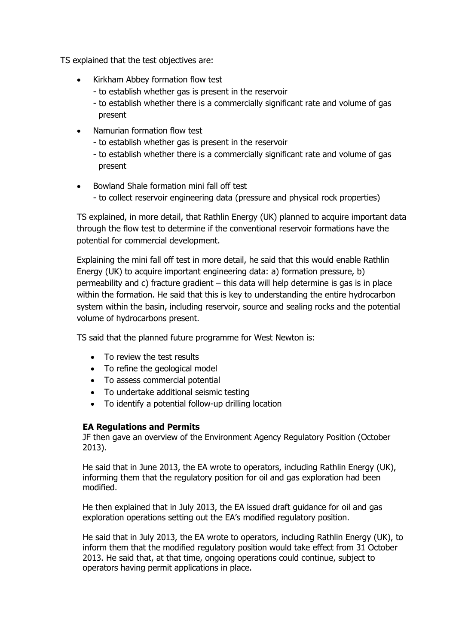TS explained that the test objectives are:

- Kirkham Abbey formation flow test
	- to establish whether gas is present in the reservoir
	- to establish whether there is a commercially significant rate and volume of gas present
- Namurian formation flow test
	- to establish whether gas is present in the reservoir
	- to establish whether there is a commercially significant rate and volume of gas present
- Bowland Shale formation mini fall off test - to collect reservoir engineering data (pressure and physical rock properties)

TS explained, in more detail, that Rathlin Energy (UK) planned to acquire important data through the flow test to determine if the conventional reservoir formations have the potential for commercial development.

Explaining the mini fall off test in more detail, he said that this would enable Rathlin Energy (UK) to acquire important engineering data: a) formation pressure, b) permeability and c) fracture gradient – this data will help determine is gas is in place within the formation. He said that this is key to understanding the entire hydrocarbon system within the basin, including reservoir, source and sealing rocks and the potential volume of hydrocarbons present.

TS said that the planned future programme for West Newton is:

- To review the test results
- To refine the geological model
- To assess commercial potential
- To undertake additional seismic testing
- To identify a potential follow-up drilling location

# **EA Regulations and Permits**

JF then gave an overview of the Environment Agency Regulatory Position (October 2013).

He said that in June 2013, the EA wrote to operators, including Rathlin Energy (UK), informing them that the regulatory position for oil and gas exploration had been modified.

He then explained that in July 2013, the EA issued draft guidance for oil and gas exploration operations setting out the EA's modified regulatory position.

He said that in July 2013, the EA wrote to operators, including Rathlin Energy (UK), to inform them that the modified regulatory position would take effect from 31 October 2013. He said that, at that time, ongoing operations could continue, subject to operators having permit applications in place.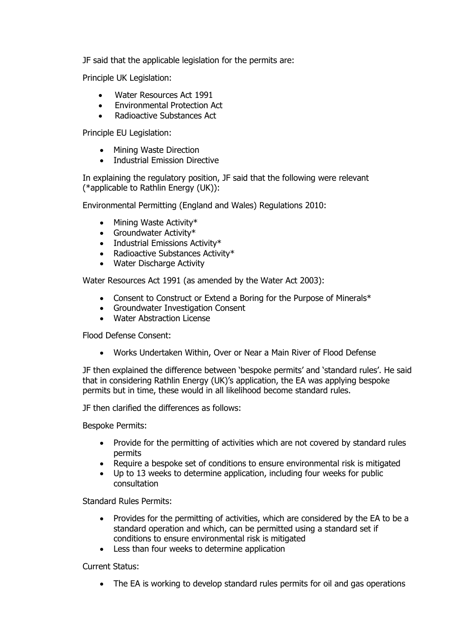JF said that the applicable legislation for the permits are:

Principle UK Legislation:

- Water Resources Act 1991
- Environmental Protection Act
- Radioactive Substances Act

Principle EU Legislation:

- Mining Waste Direction
- Industrial Emission Directive

In explaining the regulatory position, JF said that the following were relevant (\*applicable to Rathlin Energy (UK)):

Environmental Permitting (England and Wales) Regulations 2010:

- $\bullet$  Mining Waste Activity\*
- Groundwater Activity\*
- $\bullet$  Industrial Emissions Activity\*
- Radioactive Substances Activity\*
- Water Discharge Activity

Water Resources Act 1991 (as amended by the Water Act 2003):

- Consent to Construct or Extend a Boring for the Purpose of Minerals\*
- Groundwater Investigation Consent
- Water Abstraction License

Flood Defense Consent:

Works Undertaken Within, Over or Near a Main River of Flood Defense

JF then explained the difference between 'bespoke permits' and 'standard rules'. He said that in considering Rathlin Energy (UK)'s application, the EA was applying bespoke permits but in time, these would in all likelihood become standard rules.

JF then clarified the differences as follows:

Bespoke Permits:

- Provide for the permitting of activities which are not covered by standard rules permits
- Require a bespoke set of conditions to ensure environmental risk is mitigated
- Up to 13 weeks to determine application, including four weeks for public consultation

Standard Rules Permits:

- Provides for the permitting of activities, which are considered by the EA to be a standard operation and which, can be permitted using a standard set if conditions to ensure environmental risk is mitigated
- Less than four weeks to determine application

Current Status:

The EA is working to develop standard rules permits for oil and gas operations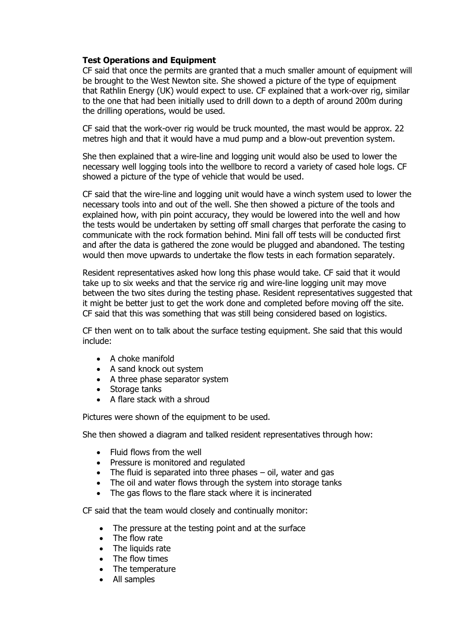# **Test Operations and Equipment**

CF said that once the permits are granted that a much smaller amount of equipment will be brought to the West Newton site. She showed a picture of the type of equipment that Rathlin Energy (UK) would expect to use. CF explained that a work-over rig, similar to the one that had been initially used to drill down to a depth of around 200m during the drilling operations, would be used.

CF said that the work-over rig would be truck mounted, the mast would be approx. 22 metres high and that it would have a mud pump and a blow-out prevention system.

She then explained that a wire-line and logging unit would also be used to lower the necessary well logging tools into the wellbore to record a variety of cased hole logs. CF showed a picture of the type of vehicle that would be used.

CF said that the wire-line and logging unit would have a winch system used to lower the necessary tools into and out of the well. She then showed a picture of the tools and explained how, with pin point accuracy, they would be lowered into the well and how the tests would be undertaken by setting off small charges that perforate the casing to communicate with the rock formation behind. Mini fall off tests will be conducted first and after the data is gathered the zone would be plugged and abandoned. The testing would then move upwards to undertake the flow tests in each formation separately.

Resident representatives asked how long this phase would take. CF said that it would take up to six weeks and that the service rig and wire-line logging unit may move between the two sites during the testing phase. Resident representatives suggested that it might be better just to get the work done and completed before moving off the site. CF said that this was something that was still being considered based on logistics.

CF then went on to talk about the surface testing equipment. She said that this would include:

- $\bullet$  A choke manifold
- A sand knock out system
- A three phase separator system
- Storage tanks
- A flare stack with a shroud

Pictures were shown of the equipment to be used.

She then showed a diagram and talked resident representatives through how:

- Fluid flows from the well
- Pressure is monitored and regulated
- The fluid is separated into three phases oil, water and gas
- The oil and water flows through the system into storage tanks
- The gas flows to the flare stack where it is incinerated

CF said that the team would closely and continually monitor:

- The pressure at the testing point and at the surface
- The flow rate
- The liquids rate
- The flow times
- The temperature
- All samples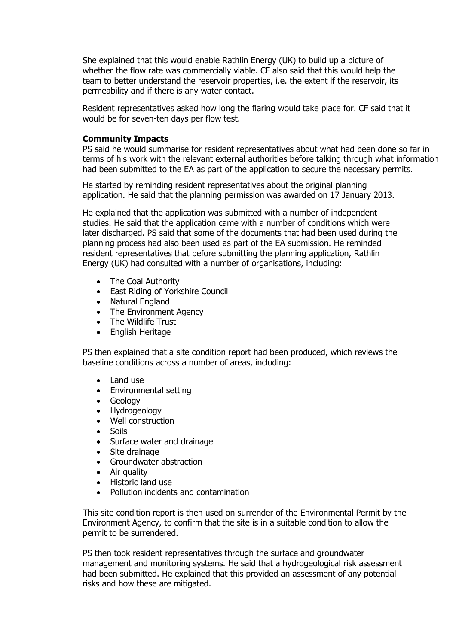She explained that this would enable Rathlin Energy (UK) to build up a picture of whether the flow rate was commercially viable. CF also said that this would help the team to better understand the reservoir properties, i.e. the extent if the reservoir, its permeability and if there is any water contact.

Resident representatives asked how long the flaring would take place for. CF said that it would be for seven-ten days per flow test.

#### **Community Impacts**

PS said he would summarise for resident representatives about what had been done so far in terms of his work with the relevant external authorities before talking through what information had been submitted to the EA as part of the application to secure the necessary permits.

 He started by reminding resident representatives about the original planning application. He said that the planning permission was awarded on 17 January 2013.

 He explained that the application was submitted with a number of independent studies. He said that the application came with a number of conditions which were later discharged. PS said that some of the documents that had been used during the planning process had also been used as part of the EA submission. He reminded resident representatives that before submitting the planning application, Rathlin Energy (UK) had consulted with a number of organisations, including:

- The Coal Authority
- East Riding of Yorkshire Council
- Natural England
- The Environment Agency
- The Wildlife Trust
- English Heritage

PS then explained that a site condition report had been produced, which reviews the baseline conditions across a number of areas, including:

- Land use
- Environmental setting
- Geology
- Hydrogeology
- Well construction
- Soils
- Surface water and drainage
- Site drainage
- Groundwater abstraction
- Air quality
- Historic land use
- Pollution incidents and contamination

This site condition report is then used on surrender of the Environmental Permit by the Environment Agency, to confirm that the site is in a suitable condition to allow the permit to be surrendered.

 PS then took resident representatives through the surface and groundwater management and monitoring systems. He said that a hydrogeological risk assessment had been submitted. He explained that this provided an assessment of any potential risks and how these are mitigated.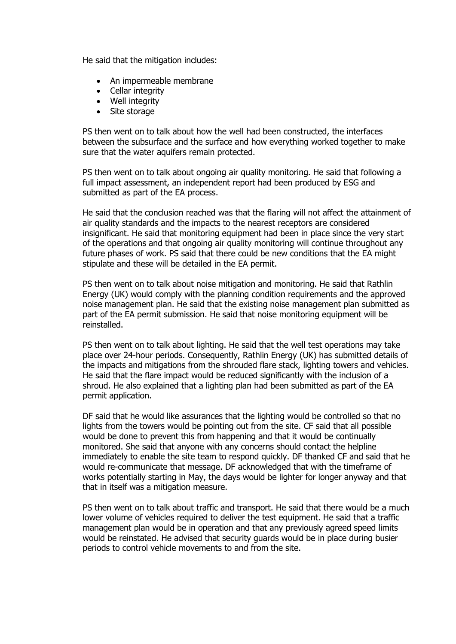He said that the mitigation includes:

- An impermeable membrane
- Cellar integrity
- Well integrity
- Site storage

PS then went on to talk about how the well had been constructed, the interfaces between the subsurface and the surface and how everything worked together to make sure that the water aquifers remain protected.

PS then went on to talk about ongoing air quality monitoring. He said that following a full impact assessment, an independent report had been produced by ESG and submitted as part of the EA process.

He said that the conclusion reached was that the flaring will not affect the attainment of air quality standards and the impacts to the nearest receptors are considered insignificant. He said that monitoring equipment had been in place since the very start of the operations and that ongoing air quality monitoring will continue throughout any future phases of work. PS said that there could be new conditions that the EA might stipulate and these will be detailed in the EA permit.

PS then went on to talk about noise mitigation and monitoring. He said that Rathlin Energy (UK) would comply with the planning condition requirements and the approved noise management plan. He said that the existing noise management plan submitted as part of the EA permit submission. He said that noise monitoring equipment will be reinstalled.

PS then went on to talk about lighting. He said that the well test operations may take place over 24-hour periods. Consequently, Rathlin Energy (UK) has submitted details of the impacts and mitigations from the shrouded flare stack, lighting towers and vehicles. He said that the flare impact would be reduced significantly with the inclusion of a shroud. He also explained that a lighting plan had been submitted as part of the EA permit application.

DF said that he would like assurances that the lighting would be controlled so that no lights from the towers would be pointing out from the site. CF said that all possible would be done to prevent this from happening and that it would be continually monitored. She said that anyone with any concerns should contact the helpline immediately to enable the site team to respond quickly. DF thanked CF and said that he would re-communicate that message. DF acknowledged that with the timeframe of works potentially starting in May, the days would be lighter for longer anyway and that that in itself was a mitigation measure.

PS then went on to talk about traffic and transport. He said that there would be a much lower volume of vehicles required to deliver the test equipment. He said that a traffic management plan would be in operation and that any previously agreed speed limits would be reinstated. He advised that security guards would be in place during busier periods to control vehicle movements to and from the site.